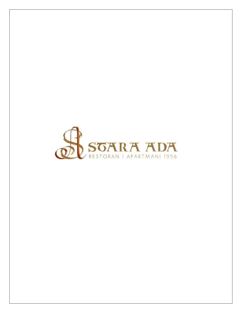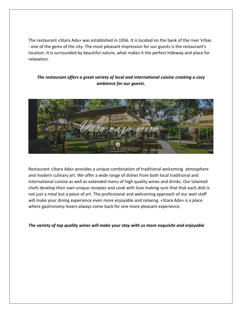The restaurant «Stara Ada» was established in 1956. It is located on the bank of the river Vrbas - one of the gems of the city. The most pleasant impression for our guests is the restaurant's location. It is surrounded by beautiful nature, what makes it the perfect hideway and place for relaxation.

## *The restaurant offers a great variety of local and international cuisine creating a cozy ambience for our guests.*



Restaurant «Stara Ada» provides a unique combination of traditional welcoming atmosphere and modern culinary art. We offer a wide range of dishes from both local traditional and international cuisine as well as extended menu of high quality wines and drinks. Our talanted chefs develop their own unique recepies and cook with love making sure that that each dish is not just a meal but a piece of art. The professional and welcoming approach of our wait staff will make your dining experience even more enjoyable and relaxing. «Stara Ada» is a place where gastronomy lovers always come back for one more pleasant experience.

*The variety of top quality wines will make your stay with us more exquisite and enjoyable*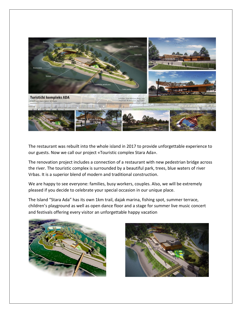

The restaurant was rebuilt into the whole island in 2017 to provide unforgettable experience to our guests. Now we call our project «Touristic complex Stara Ada».

The renovation project includes a connection of a restaurant with new pedestrian bridge across the river. The touristic complex is surrounded by a beautiful park, trees, blue waters of river Vrbas. It is a superior blend of modern and traditional construction.

We are happy to see everyone: families, busy workers, couples. Also, we will be extremely pleased if you decide to celebrate your special occasion in our unique place.

The Island "Stara Ada" has its own 1km trail, dajak marina, fishing spot, summer terrace, children's playground as well as open dance floor and a stage for summer live music concert and festivals offering every visitor an unforgettable happy vacation



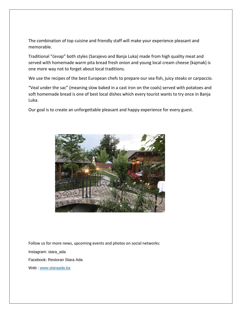The combination of top cuisine and friendly staff will make your experience pleasant and memorable.

Traditional "ćevap" both styles (Sarajevo and Banja Luka) made from high quality meat and served with homemade warm pita bread fresh onion and young local cream cheese (kajmak) is one more way not to forget about local traditions.

We use the recipes of the best European chefs to prepare our sea fish, juicy steaks or carpaccio.

"Veal under the sac" (meaning slow baked in a cast iron on the coals) served with potatoes and soft homemade bread is one of best local dishes which every tourist wants to try once in Banja Luka.

Our goal is to create an unforgettable pleasant and happy experience for every guest.



Follow us for more news, upcoming events and photos on social networks: Instagram: stara\_ada Facebook: Restoran Stara Ada Web : [www.staraada.ba](http://www.staraada.ba/)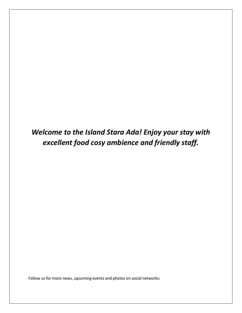*Welcome to the Island Stara Ada! Enjoy your stay with excellent food cosy ambience and friendly staff.*

Follow us for more news, upcoming events and photos on social networks: